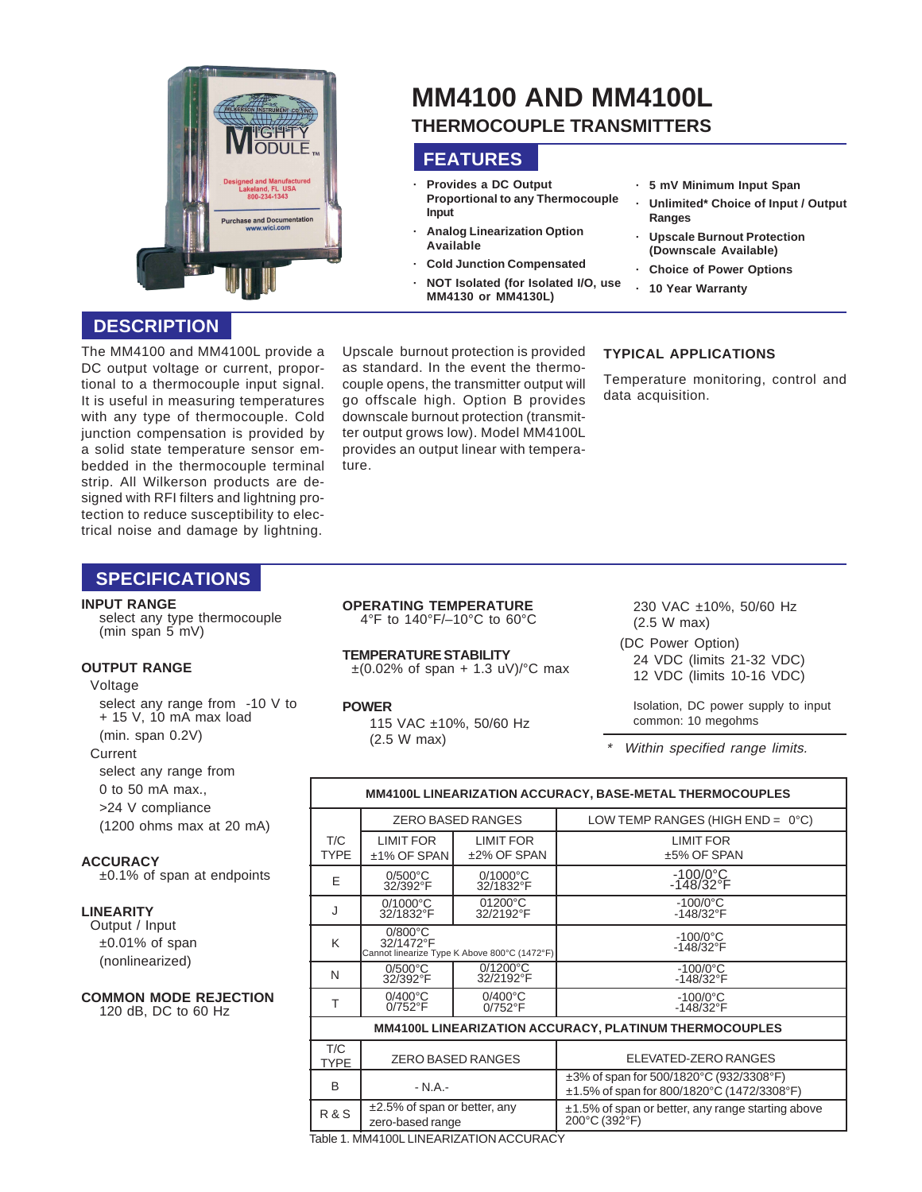

# **MM4100 AND MM4100L THERMOCOUPLE TRANSMITTERS**

# **FEATURES**

- **· Provides a DC Output Proportional to any Thermocouple Input**
- **· Analog Linearization Option Available**
- **· Cold Junction Compensated**
- **· NOT Isolated (for Isolated I/O, use MM4130 or MM4130L)**

#### **· 5 mV Minimum Input Span**

- **· Unlimited\* Choice of Input / Output Ranges**
- **· Upscale Burnout Protection (Downscale Available)**
- **· Choice of Power Options**
- **· 10 Year Warranty**

# **DESCRIPTION**

The MM4100 and MM4100L provide a DC output voltage or current, proportional to a thermocouple input signal. It is useful in measuring temperatures with any type of thermocouple. Cold junction compensation is provided by a solid state temperature sensor embedded in the thermocouple terminal strip. All Wilkerson products are designed with RFI filters and lightning protection to reduce susceptibility to electrical noise and damage by lightning.

Upscale burnout protection is provided as standard. In the event the thermocouple opens, the transmitter output will go offscale high. Option B provides downscale burnout protection (transmitter output grows low). Model MM4100L provides an output linear with temperature.

## **TYPICAL APPLICATIONS**

Temperature monitoring, control and data acquisition.

# **SPECIFICATIONS**

#### **INPUT RANGE**

select any type thermocouple (min span 5 mV)

#### **OUTPUT RANGE**

Voltage

select any range from -10 V to + 15 V, 10 mA max load (min. span 0.2V)

#### **Current**

select any range from

0 to 50 mA max.,

>24 V compliance (1200 ohms max at 20 mA)

#### **ACCURACY**

±0.1% of span at endpoints

## **LINEARITY**

Output / Input ±0.01% of span (nonlinearized)

#### **COMMON MODE REJECTION** 120 dB, DC to 60 Hz

**OPERATING TEMPERATURE** 4°F to 140°F/–10°C to 60°C

**TEMPERATURE STABILITY**  $\pm (0.02\% \text{ of span } + 1.3 \text{ uV})^{\circ} \text{C}$  max

**POWER**

R & S

115 VAC ±10%, 50/60 Hz (2.5 W max)

230 VAC ±10%, 50/60 Hz (2.5 W max)

24 VDC (limits 21-32 VDC) 12 VDC (limits 10-16 VDC)

Isolation, DC power supply to input common: 10 megohms

Within specified range limits.

| MM4100L LINEARIZATION ACCURACY, BASE-METAL THERMOCOUPLES      |                                                                                |                                 |                                                                                             |  |
|---------------------------------------------------------------|--------------------------------------------------------------------------------|---------------------------------|---------------------------------------------------------------------------------------------|--|
|                                                               | <b>ZERO BASED RANGES</b>                                                       |                                 | LOW TEMP RANGES (HIGH END = $0^{\circ}$ C)                                                  |  |
| T/C<br><b>TYPE</b>                                            | <b>LIMIT FOR</b><br>±1% OF SPAN                                                | LIMIT FOR<br>±2% OF SPAN        | <b>LIMIT FOR</b><br>±5% OF SPAN                                                             |  |
| F                                                             | $0/500^{\circ}$ C<br>32/392°F                                                  | $0/1000^{\circ}$ C<br>32/1832°F | $-100/0$ °C<br>$-148/32$ °F                                                                 |  |
|                                                               | $0/1000^{\circ}$ C<br>32/1832°F                                                | 01200°C<br>32/2192°F            | $-100/0$ °C<br>$-148/32$ °F                                                                 |  |
| K                                                             | $0/800^{\circ}$ C<br>32/1472°F<br>Cannot linearize Type K Above 800°C (1472°F) |                                 | $-100/0$ °C<br>$-148/32$ °F                                                                 |  |
| N                                                             | $0/500^{\circ}$ C<br>32/392°F                                                  | $0/1200^{\circ}$ C<br>32/2192°F | $-100/0$ °C<br>-148/32°F                                                                    |  |
| Т                                                             | $0/400^{\circ}$ C<br>$0/752$ °F                                                | $0/400^{\circ}$ C<br>$0/752$ °F | $-100/0$ °C<br>$-148/32$ °F                                                                 |  |
| <b>MM4100L LINEARIZATION ACCURACY, PLATINUM THERMOCOUPLES</b> |                                                                                |                                 |                                                                                             |  |
| T/C<br><b>TYPE</b>                                            | <b>ZERO BASED RANGES</b>                                                       |                                 | ELEVATED-ZERO RANGES                                                                        |  |
| B                                                             | $- N.A. -$                                                                     |                                 | $\pm 3\%$ of span for 500/1820°C (932/3308°F)<br>±1.5% of span for 800/1820°C (1472/3308°F) |  |

200°C (392°F)

Table 1. MM4100L LINEARIZATION ACCURACY

zero-based range

±2.5% of span or better, any

(DC Power Option)

\*

±1.5% of span or better, any range starting above